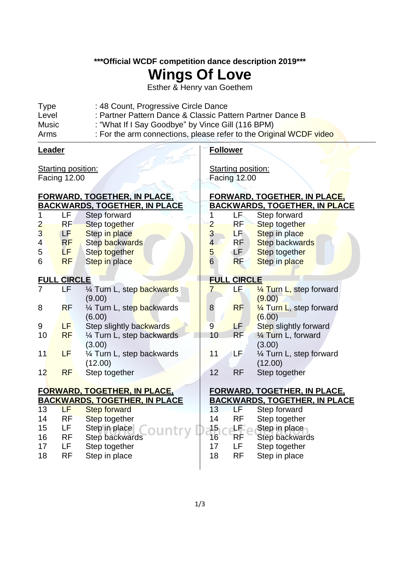**\*\*\*Official WCDF competition dance description 2019\*\*\***

## **Wings Of Love**

Esther & Henry van Goethem

| : Partner Pattern Dance & Classic Pattern Partner Dance B<br>: "What If I Say Goodbye" by Vince Gill (116 BPM) |
|----------------------------------------------------------------------------------------------------------------|
| : For the arm connections, please refer to the Original WCDF video                                             |
|                                                                                                                |

| Leader                                           |                    |                                      | <b>Follower</b>                                  |                    |                                      |  |
|--------------------------------------------------|--------------------|--------------------------------------|--------------------------------------------------|--------------------|--------------------------------------|--|
| <b>Starting position:</b><br><b>Facing 12.00</b> |                    |                                      | <b>Starting position:</b><br><b>Facing 12.00</b> |                    |                                      |  |
|                                                  |                    | <u>FORWARD, TOGETHER, IN PLACE,</u>  |                                                  |                    | <u>FORWARD, TOGETHER, IN PLACE,</u>  |  |
|                                                  |                    | <b>BACKWARDS, TOGETHER, IN PLACE</b> |                                                  |                    | <u>BACKWARDS, TOGETHER, IN PLACE</u> |  |
| 1                                                | LF                 | Step forward                         | 1                                                | LF.                | Step forward                         |  |
| $\overline{2}$                                   | <b>RF</b>          | Step together                        | $\overline{2}$                                   | <b>RF</b>          | Step together                        |  |
| $\overline{3}$                                   | LF.                | Step in place                        | 3                                                | LF <sup>1</sup>    | Step in place                        |  |
| 4                                                | <b>RF</b>          | Step backwards                       | $\overline{4}$                                   | <b>RF</b>          | <b>Step backwards</b>                |  |
| 5                                                | LF.                | Step together                        | $\overline{5}$                                   | LF.                | Step together                        |  |
| 6                                                | <b>RF</b>          | Step in place                        | $6\overline{6}$                                  | <b>RF</b>          | Step in place                        |  |
|                                                  | <b>FULL CIRCLE</b> |                                      |                                                  | <b>FULL CIRCLE</b> |                                      |  |
| $\overline{7}$                                   | LF                 | 1/4 Turn L, step backwards           | $\overline{7}$                                   | ЬF.                | $\frac{1}{4}$ Turn L, step forward   |  |
|                                                  |                    | (9.00)                               |                                                  |                    | (9.00)                               |  |
| 8                                                | <b>RF</b>          | 1/4 Turn L, step backwards           | $\boldsymbol{8}$                                 | <b>RF</b>          | 1/4 Turn L, step forward             |  |
|                                                  |                    | (6.00)                               |                                                  |                    | (6.00)                               |  |
| 9                                                | LF                 | Step slightly backwards              | 9                                                | LF.                | Step slightly forward                |  |
| 10                                               | <b>RF</b>          | 1/4 Turn L, step backwards           | 10                                               | <b>RF</b>          | $\frac{1}{4}$ Turn L, forward        |  |
|                                                  |                    | (3.00)                               |                                                  |                    | (3.00)                               |  |
| 11                                               | LF                 | 1/4 Turn L, step backwards           | 11                                               | LF                 | 1⁄4 Turn L, step forward             |  |
|                                                  |                    | (12.00)                              |                                                  |                    | (12.00)                              |  |
| 12                                               | <b>RF</b>          | Step together                        | 12                                               | <b>RF</b>          | Step together                        |  |
|                                                  |                    | <u>FORWARD, TOGETHER, IN PLACE,</u>  |                                                  |                    | <b>FORWARD, TOGETHER, IN PLACE,</b>  |  |
|                                                  |                    | <b>BACKWARDS, TOGETHER, IN PLACE</b> |                                                  |                    | <b>BACKWARDS, TOGETHER, IN PLACE</b> |  |
| 13                                               | LF.                | <b>Step forward</b>                  | 13                                               | LF                 | Step forward                         |  |
| 14                                               | RF                 | <b>Step together</b>                 | 14                                               | <b>RF</b>          | Step together                        |  |
| 15                                               | LF                 | Step in place                        | $15\,$                                           | LF.                | Step in place                        |  |
| 16                                               | <b>RF</b>          | Step backwards                       | 16                                               | RF                 | <b>Step backwards</b>                |  |
| 17                                               | LF                 | Step together                        | 17                                               | LF                 | Step together                        |  |

18 RF Step in place

18 RF Step in place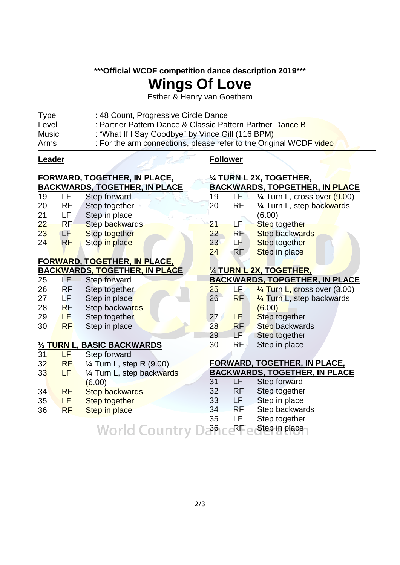#### **\*\*\*Official WCDF competition dance description 2019\*\*\***

## **Wings Of Love**

Esther & Henry van Goethem

| <b>Type</b> | : 48 Count, Progressive Circle Dance                               |
|-------------|--------------------------------------------------------------------|
| Level       | : Partner Pattern Dance & Classic Pattern Partner Dance B          |
| Music       | : "What If I Say Goodbye" by Vince Gill (116 BPM)                  |
| Arms        | : For the arm connections, please refer to the Original WCDF video |

#### **Leader**

## **FORWARD, TOGETHER, IN PLACE,**

### **BACKWARDS, TOGETHER, IN PLACE**

| 19 | LF        | Step forward   |
|----|-----------|----------------|
| 20 | RF        | Step together  |
| 21 | LF        | Step in place  |
| 22 | RF        | Step backwards |
| 23 | LF        | Step together  |
| 24 | <b>RF</b> | Step in place  |

#### **FORWARD, TOGETHER, IN PLACE, BACKWARDS, TOGETHER, IN PLACE**

|    | .         | <u>.</u>       |
|----|-----------|----------------|
| 25 | LF        | Step forward   |
| 26 | RF        | Step together  |
| 27 | LF        | Step in place  |
| 28 | <b>RF</b> | Step backwards |
| 29 | LF        | Step together  |
| 30 | <b>RF</b> | Step in place  |

#### **½ TURN L, BASIC BACKWARDS**

| 31 | LF        | Step forward                        |
|----|-----------|-------------------------------------|
| 32 | <b>RF</b> | $\frac{1}{4}$ Turn L, step R (9.00) |
| 33 | LF        | 1/4 Turn L, step backwards          |
|    |           | (6.00)                              |
| 34 | <b>RF</b> | <b>Step backwards</b>               |
| 35 | LF        | <b>Step together</b>                |
| 36 | <b>RF</b> | Step in place                       |
|    |           |                                     |

#### **Follower**

### **¼ TURN L 2X, TOGETHER, BACKWARDS, TOPGETHER, IN PLACE** 19 LF  $\frac{1}{4}$  Turn L, cross over  $(9.00)$ 20 RF ¼ Turn L, step backwards (6.00) 21 LF Step together 22 RF Step backwards 23 LF Step together 24 RF Step in place **¼ TURN L 2X, TOGETHER, BACKWARDS, TOPGETHER, IN PLACE** 25 LF  $\frac{1}{4}$  Turn L, cross over (3.00) 26 RF ¼ Turn L, step backwards (6.00) 27 **LF** Step together 28 RF Step backwards 29 LF Step together 30 RF Step in place

#### **FORWARD, TOGETHER, IN PLACE, BACKWARDS, TOGETHER, IN PLACE**

| (00)                 | 31              | l F       | Step forward   |
|----------------------|-----------------|-----------|----------------|
| ep backwards         | 32              | <b>RF</b> | Step together  |
| ep together          | 33              | ΙF        | Step in place  |
| ep in place          | 34              | <b>RF</b> | Step backwards |
|                      | 35              | I F       | Step together  |
| <b>World Country</b> | 36 <sub>1</sub> | RF        | Step in place  |